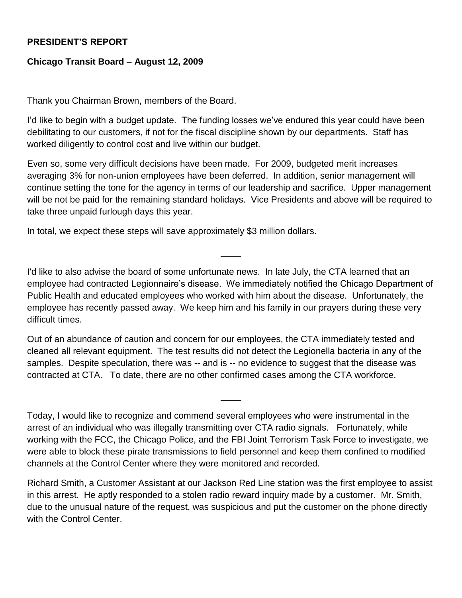## **PRESIDENT'S REPORT**

## **Chicago Transit Board – August 12, 2009**

Thank you Chairman Brown, members of the Board.

I'd like to begin with a budget update. The funding losses we've endured this year could have been debilitating to our customers, if not for the fiscal discipline shown by our departments. Staff has worked diligently to control cost and live within our budget.

Even so, some very difficult decisions have been made. For 2009, budgeted merit increases averaging 3% for non-union employees have been deferred. In addition, senior management will continue setting the tone for the agency in terms of our leadership and sacrifice. Upper management will be not be paid for the remaining standard holidays. Vice Presidents and above will be required to take three unpaid furlough days this year.

In total, we expect these steps will save approximately \$3 million dollars.

I'd like to also advise the board of some unfortunate news. In late July, the CTA learned that an employee had contracted Legionnaire's disease. We immediately notified the Chicago Department of Public Health and educated employees who worked with him about the disease. Unfortunately, the employee has recently passed away. We keep him and his family in our prayers during these very difficult times.

 $\overline{\phantom{a}}$ 

Out of an abundance of caution and concern for our employees, the CTA immediately tested and cleaned all relevant equipment. The test results did not detect the Legionella bacteria in any of the samples. Despite speculation, there was -- and is -- no evidence to suggest that the disease was contracted at CTA. To date, there are no other confirmed cases among the CTA workforce.

Today, I would like to recognize and commend several employees who were instrumental in the arrest of an individual who was illegally transmitting over CTA radio signals. Fortunately, while working with the FCC, the Chicago Police, and the FBI Joint Terrorism Task Force to investigate, we were able to block these pirate transmissions to field personnel and keep them confined to modified channels at the Control Center where they were monitored and recorded.

 $\overline{\phantom{a}}$ 

Richard Smith, a Customer Assistant at our Jackson Red Line station was the first employee to assist in this arrest. He aptly responded to a stolen radio reward inquiry made by a customer. Mr. Smith, due to the unusual nature of the request, was suspicious and put the customer on the phone directly with the Control Center.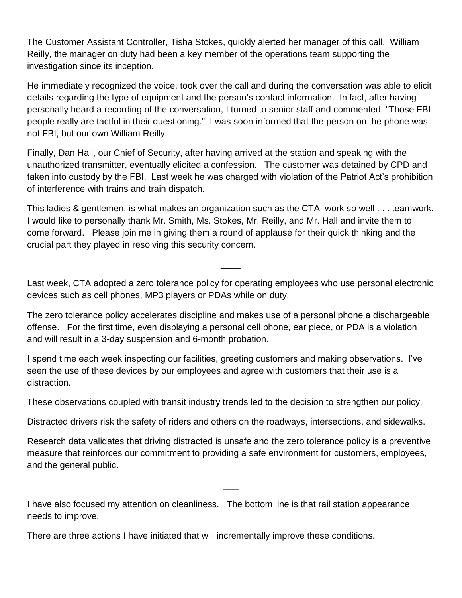The Customer Assistant Controller, Tisha Stokes, quickly alerted her manager of this call. William Reilly, the manager on duty had been a key member of the operations team supporting the investigation since its inception.

He immediately recognized the voice, took over the call and during the conversation was able to elicit details regarding the type of equipment and the person's contact information. In fact, after having personally heard a recording of the conversation, I turned to senior staff and commented, "Those FBI people really are tactful in their questioning." I was soon informed that the person on the phone was not FBI, but our own William Reilly.

Finally, Dan Hall, our Chief of Security, after having arrived at the station and speaking with the unauthorized transmitter, eventually elicited a confession. The customer was detained by CPD and taken into custody by the FBI. Last week he was charged with violation of the Patriot Act's prohibition of interference with trains and train dispatch.

This ladies & gentlemen, is what makes an organization such as the CTA work so well . . . teamwork. I would like to personally thank Mr. Smith, Ms. Stokes, Mr. Reilly, and Mr. Hall and invite them to come forward. Please join me in giving them a round of applause for their quick thinking and the crucial part they played in resolving this security concern.

Last week, CTA adopted a zero tolerance policy for operating employees who use personal electronic devices such as cell phones, MP3 players or PDAs while on duty.

 $\overline{\phantom{a}}$ 

The zero tolerance policy accelerates discipline and makes use of a personal phone a dischargeable offense. For the first time, even displaying a personal cell phone, ear piece, or PDA is a violation and will result in a 3-day suspension and 6-month probation.

I spend time each week inspecting our facilities, greeting customers and making observations. I've seen the use of these devices by our employees and agree with customers that their use is a distraction.

These observations coupled with transit industry trends led to the decision to strengthen our policy.

Distracted drivers risk the safety of riders and others on the roadways, intersections, and sidewalks.

Research data validates that driving distracted is unsafe and the zero tolerance policy is a preventive measure that reinforces our commitment to providing a safe environment for customers, employees, and the general public.

 $\overline{\phantom{a}}$ 

I have also focused my attention on cleanliness. The bottom line is that rail station appearance needs to improve.

There are three actions I have initiated that will incrementally improve these conditions.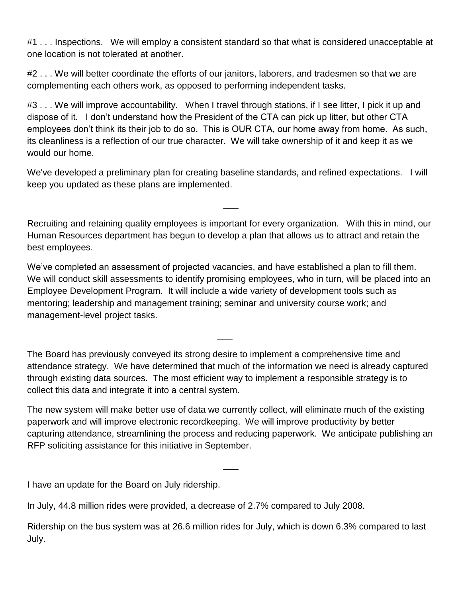#1 . . . Inspections. We will employ a consistent standard so that what is considered unacceptable at one location is not tolerated at another.

#2 . . . We will better coordinate the efforts of our janitors, laborers, and tradesmen so that we are complementing each others work, as opposed to performing independent tasks.

#3... We will improve accountability. When I travel through stations, if I see litter, I pick it up and dispose of it. I don't understand how the President of the CTA can pick up litter, but other CTA employees don't think its their job to do so. This is OUR CTA, our home away from home. As such, its cleanliness is a reflection of our true character. We will take ownership of it and keep it as we would our home.

We've developed a preliminary plan for creating baseline standards, and refined expectations. I will keep you updated as these plans are implemented.

Recruiting and retaining quality employees is important for every organization. With this in mind, our Human Resources department has begun to develop a plan that allows us to attract and retain the best employees.

 $\overline{\phantom{a}}$ 

We've completed an assessment of projected vacancies, and have established a plan to fill them. We will conduct skill assessments to identify promising employees, who in turn, will be placed into an Employee Development Program. It will include a wide variety of development tools such as mentoring; leadership and management training; seminar and university course work; and management-level project tasks.

The Board has previously conveyed its strong desire to implement a comprehensive time and attendance strategy. We have determined that much of the information we need is already captured through existing data sources. The most efficient way to implement a responsible strategy is to collect this data and integrate it into a central system.

 $\overline{\phantom{a}}$ 

The new system will make better use of data we currently collect, will eliminate much of the existing paperwork and will improve electronic recordkeeping. We will improve productivity by better capturing attendance, streamlining the process and reducing paperwork. We anticipate publishing an RFP soliciting assistance for this initiative in September.

 $\overline{\phantom{a}}$ 

I have an update for the Board on July ridership.

In July, 44.8 million rides were provided, a decrease of 2.7% compared to July 2008.

Ridership on the bus system was at 26.6 million rides for July, which is down 6.3% compared to last July.